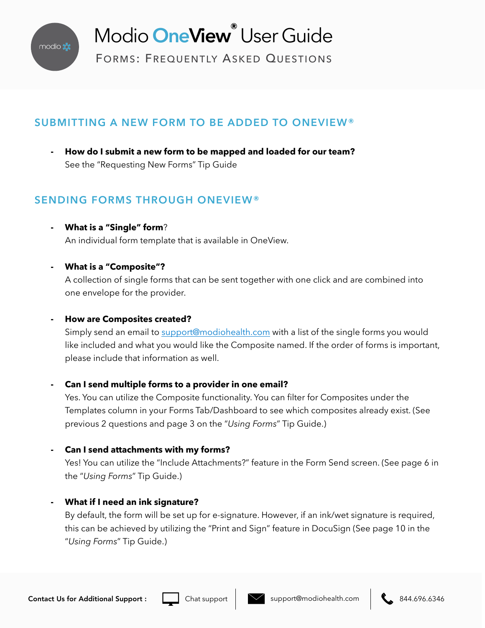

# Modio **OneView®** User Guide

FORMS: FREQUENTLY ASKED QUESTIONS

# **SUBMITTING A NEW FORM TO BE ADDED TO ONEVIEW®**

**- How do I submit a new form to be mapped and loaded for our team?**  See the "Requesting New Forms" Tip Guide

# **SENDING FORMS THROUGH ONEVIEW®**

- **- What is a "Single" form**? An individual form template that is available in OneView.
- **- What is a "Composite"?**

A collection of single forms that can be sent together with one click and are combined into one envelope for the provider.

## **- How are Composites created?**

Simply send an email to [support@modiohealth.com](mailto:support@modiohealth.com) with a list of the single forms you would like included and what you would like the Composite named. If the order of forms is important, please include that information as well.

## **- Can I send multiple forms to a provider in one email?**

Yes. You can utilize the Composite functionality. You can filter for Composites under the Templates column in your Forms Tab/Dashboard to see which composites already exist. (See previous 2 questions and page 3 on the "*Using Forms*" Tip Guide.)

## **- Can I send attachments with my forms?**

Yes! You can utilize the "Include Attachments?" feature in the Form Send screen. (See page 6 in the "*Using Forms*" Tip Guide.)

## **- What if I need an ink signature?**

By default, the form will be set up for e-signature. However, if an ink/wet signature is required, this can be achieved by utilizing the "Print and Sign" feature in DocuSign (See page 10 in the "*Using Forms*" Tip Guide.)



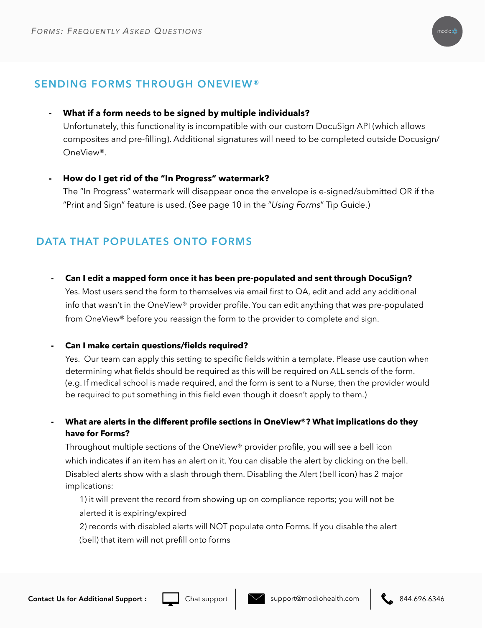

## **SENDING FORMS THROUGH ONEVIEW®**

**- What if a form needs to be signed by multiple individuals?**

Unfortunately, this functionality is incompatible with our custom DocuSign API (which allows composites and pre-filling). Additional signatures will need to be completed outside Docusign/ OneView®.

**- How do I get rid of the "In Progress" watermark?**

The "In Progress" watermark will disappear once the envelope is e-signed/submitted OR if the "Print and Sign" feature is used. (See page 10 in the "*Using Forms*" Tip Guide.)

# **DATA THAT POPULATES ONTO FORMS**

**- Can I edit a mapped form once it has been pre-populated and sent through DocuSign?** 

Yes. Most users send the form to themselves via email first to QA, edit and add any additional info that wasn't in the OneView® provider profile. You can edit anything that was pre-populated from OneView® before you reassign the form to the provider to complete and sign.

### **- Can I make certain questions/fields required?**

Yes. Our team can apply this setting to specific fields within a template. Please use caution when determining what fields should be required as this will be required on ALL sends of the form. (e.g. If medical school is made required, and the form is sent to a Nurse, then the provider would be required to put something in this field even though it doesn't apply to them.)

**- What are alerts in the different profile sections in OneView®? What implications do they have for Forms?** 

Throughout multiple sections of the OneView® provider profile, you will see a bell icon which indicates if an item has an alert on it. You can disable the alert by clicking on the bell. Disabled alerts show with a slash through them. Disabling the Alert (bell icon) has 2 major implications:

1) it will prevent the record from showing up on compliance reports; you will not be alerted it is expiring/expired

2) records with disabled alerts will NOT populate onto Forms. If you disable the alert (bell) that item will not prefill onto forms